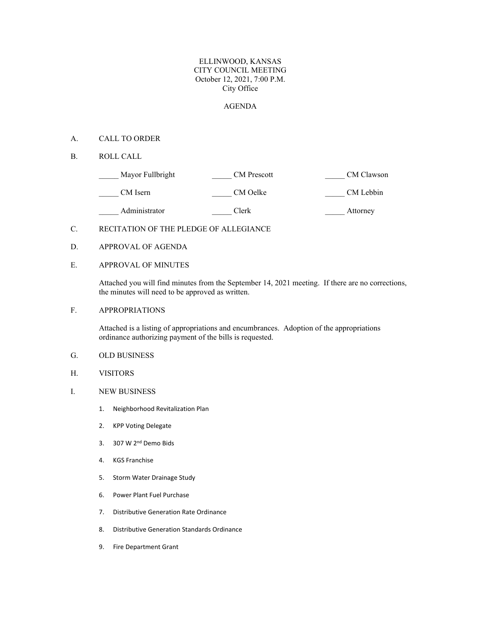#### ELLINWOOD, KANSAS CITY COUNCIL MEETING October 12, 2021, 7:00 P.M. City Office

#### AGENDA

- A. CALL TO ORDER
- B. ROLL CALL

| Mayor Fullbright | <b>CM</b> Prescott | CM Clawson |
|------------------|--------------------|------------|
| CM Isern         | CM Oelke           | CM Lebbin  |
| Administrator    | Clerk              | Attorney   |

#### C. RECITATION OF THE PLEDGE OF ALLEGIANCE

- D. APPROVAL OF AGENDA
- E. APPROVAL OF MINUTES

Attached you will find minutes from the September 14, 2021 meeting. If there are no corrections, the minutes will need to be approved as written.

F. APPROPRIATIONS

Attached is a listing of appropriations and encumbrances. Adoption of the appropriations ordinance authorizing payment of the bills is requested.

- G. OLD BUSINESS
- H. VISITORS
- I. NEW BUSINESS
	- 1. Neighborhood Revitalization Plan
	- 2. KPP Voting Delegate
	- 3. 307 W 2nd Demo Bids
	- 4. KGS Franchise
	- 5. Storm Water Drainage Study
	- 6. Power Plant Fuel Purchase
	- 7. Distributive Generation Rate Ordinance
	- 8. Distributive Generation Standards Ordinance
	- 9. Fire Department Grant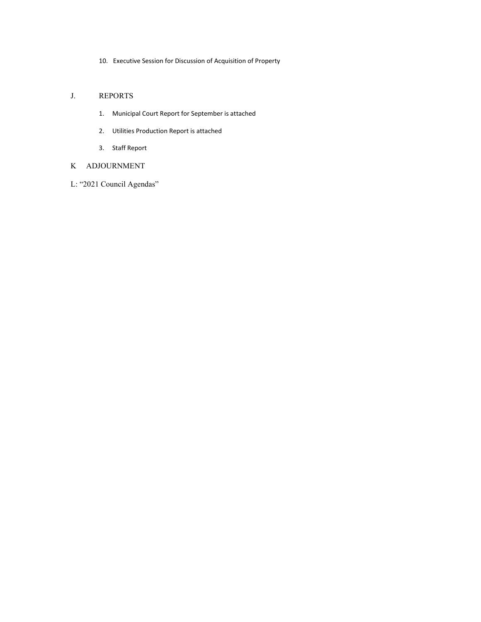10. Executive Session for Discussion of Acquisition of Property

### J. REPORTS

- 1. Municipal Court Report for September is attached
- 2. Utilities Production Report is attached
- 3. Staff Report

### K ADJOURNMENT

L: "2021 Council Agendas"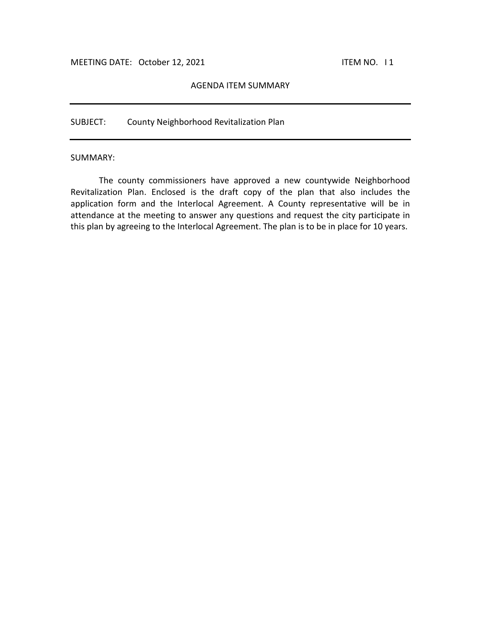#### AGENDA ITEM SUMMARY

SUBJECT: County Neighborhood Revitalization Plan

#### SUMMARY:

The county commissioners have approved a new countywide Neighborhood Revitalization Plan. Enclosed is the draft copy of the plan that also includes the application form and the Interlocal Agreement. A County representative will be in attendance at the meeting to answer any questions and request the city participate in this plan by agreeing to the Interlocal Agreement. The plan is to be in place for 10 years.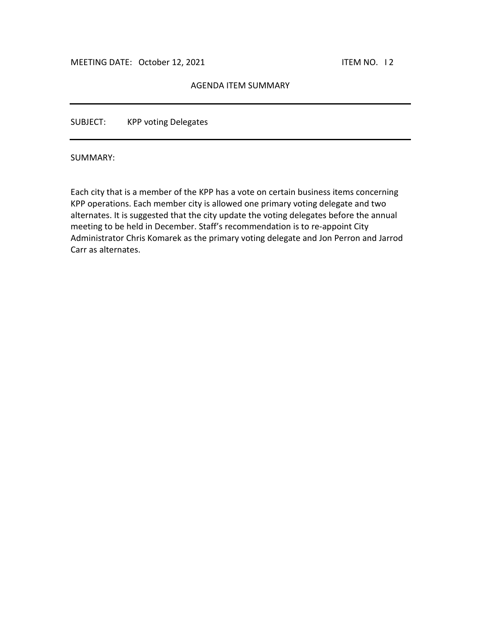## AGENDA ITEM SUMMARY

SUBJECT: KPP voting Delegates

SUMMARY:

Each city that is a member of the KPP has a vote on certain business items concerning KPP operations. Each member city is allowed one primary voting delegate and two alternates. It is suggested that the city update the voting delegates before the annual meeting to be held in December. Staff's recommendation is to re-appoint City Administrator Chris Komarek as the primary voting delegate and Jon Perron and Jarrod Carr as alternates.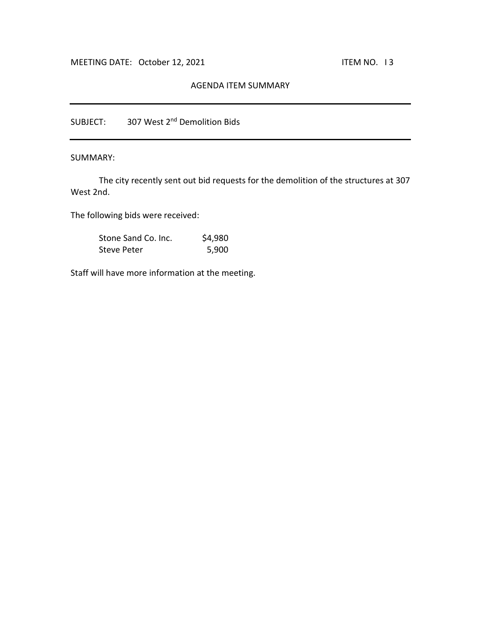## AGENDA ITEM SUMMARY

SUBJECT: 307 West 2<sup>nd</sup> Demolition Bids

SUMMARY:

The city recently sent out bid requests for the demolition of the structures at 307 West 2nd.

The following bids were received:

| Stone Sand Co. Inc. | \$4,980 |
|---------------------|---------|
| Steve Peter         | 5,900   |

Staff will have more information at the meeting.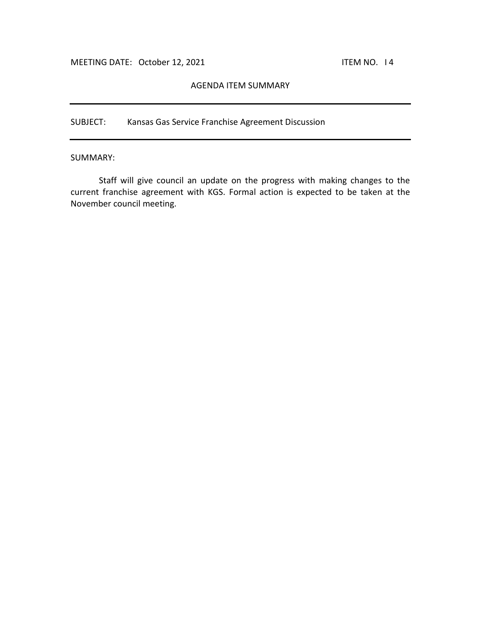### AGENDA ITEM SUMMARY

SUBJECT: Kansas Gas Service Franchise Agreement Discussion

SUMMARY:

Staff will give council an update on the progress with making changes to the current franchise agreement with KGS. Formal action is expected to be taken at the November council meeting.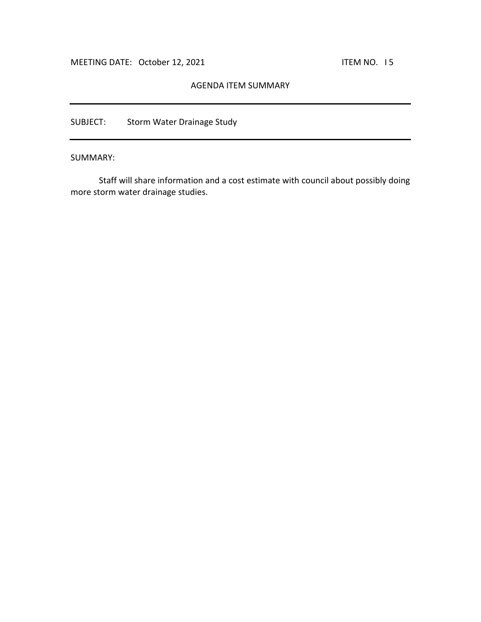## AGENDA ITEM SUMMARY

SUBJECT: Storm Water Drainage Study

SUMMARY:

Staff will share information and a cost estimate with council about possibly doing more storm water drainage studies.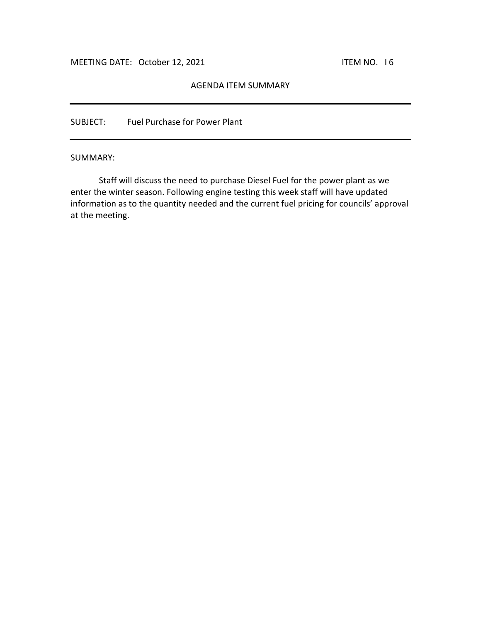### AGENDA ITEM SUMMARY

SUBJECT: Fuel Purchase for Power Plant

#### SUMMARY:

Staff will discuss the need to purchase Diesel Fuel for the power plant as we enter the winter season. Following engine testing this week staff will have updated information as to the quantity needed and the current fuel pricing for councils' approval at the meeting.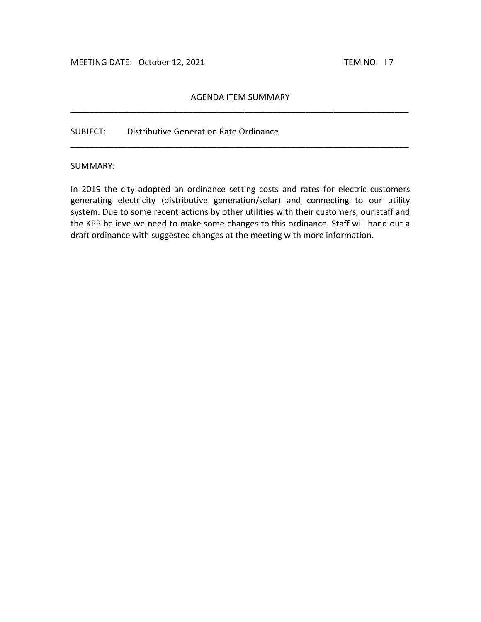# AGENDA ITEM SUMMARY \_\_\_\_\_\_\_\_\_\_\_\_\_\_\_\_\_\_\_\_\_\_\_\_\_\_\_\_\_\_\_\_\_\_\_\_\_\_\_\_\_\_\_\_\_\_\_\_\_\_\_\_\_\_\_\_\_\_\_\_\_\_\_\_\_\_\_\_\_\_\_\_

\_\_\_\_\_\_\_\_\_\_\_\_\_\_\_\_\_\_\_\_\_\_\_\_\_\_\_\_\_\_\_\_\_\_\_\_\_\_\_\_\_\_\_\_\_\_\_\_\_\_\_\_\_\_\_\_\_\_\_\_\_\_\_\_\_\_\_\_\_\_\_\_

### SUBJECT: Distributive Generation Rate Ordinance

### SUMMARY:

In 2019 the city adopted an ordinance setting costs and rates for electric customers generating electricity (distributive generation/solar) and connecting to our utility system. Due to some recent actions by other utilities with their customers, our staff and the KPP believe we need to make some changes to this ordinance. Staff will hand out a draft ordinance with suggested changes at the meeting with more information.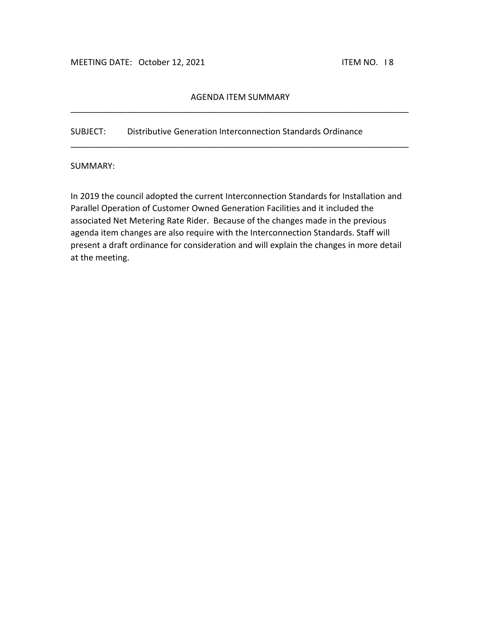# AGENDA ITEM SUMMARY \_\_\_\_\_\_\_\_\_\_\_\_\_\_\_\_\_\_\_\_\_\_\_\_\_\_\_\_\_\_\_\_\_\_\_\_\_\_\_\_\_\_\_\_\_\_\_\_\_\_\_\_\_\_\_\_\_\_\_\_\_\_\_\_\_\_\_\_\_\_\_\_

\_\_\_\_\_\_\_\_\_\_\_\_\_\_\_\_\_\_\_\_\_\_\_\_\_\_\_\_\_\_\_\_\_\_\_\_\_\_\_\_\_\_\_\_\_\_\_\_\_\_\_\_\_\_\_\_\_\_\_\_\_\_\_\_\_\_\_\_\_\_\_\_

SUBJECT: Distributive Generation Interconnection Standards Ordinance

SUMMARY:

In 2019 the council adopted the current Interconnection Standards for Installation and Parallel Operation of Customer Owned Generation Facilities and it included the associated Net Metering Rate Rider. Because of the changes made in the previous agenda item changes are also require with the Interconnection Standards. Staff will present a draft ordinance for consideration and will explain the changes in more detail at the meeting.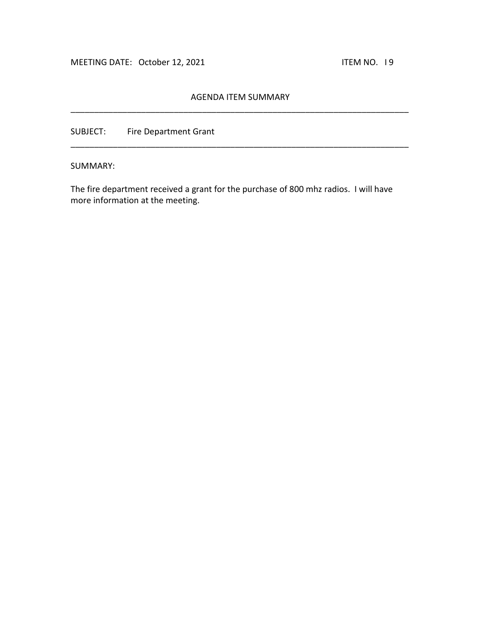# AGENDA ITEM SUMMARY \_\_\_\_\_\_\_\_\_\_\_\_\_\_\_\_\_\_\_\_\_\_\_\_\_\_\_\_\_\_\_\_\_\_\_\_\_\_\_\_\_\_\_\_\_\_\_\_\_\_\_\_\_\_\_\_\_\_\_\_\_\_\_\_\_\_\_\_\_\_\_\_

\_\_\_\_\_\_\_\_\_\_\_\_\_\_\_\_\_\_\_\_\_\_\_\_\_\_\_\_\_\_\_\_\_\_\_\_\_\_\_\_\_\_\_\_\_\_\_\_\_\_\_\_\_\_\_\_\_\_\_\_\_\_\_\_\_\_\_\_\_\_\_\_

SUBJECT: Fire Department Grant

SUMMARY:

The fire department received a grant for the purchase of 800 mhz radios. I will have more information at the meeting.